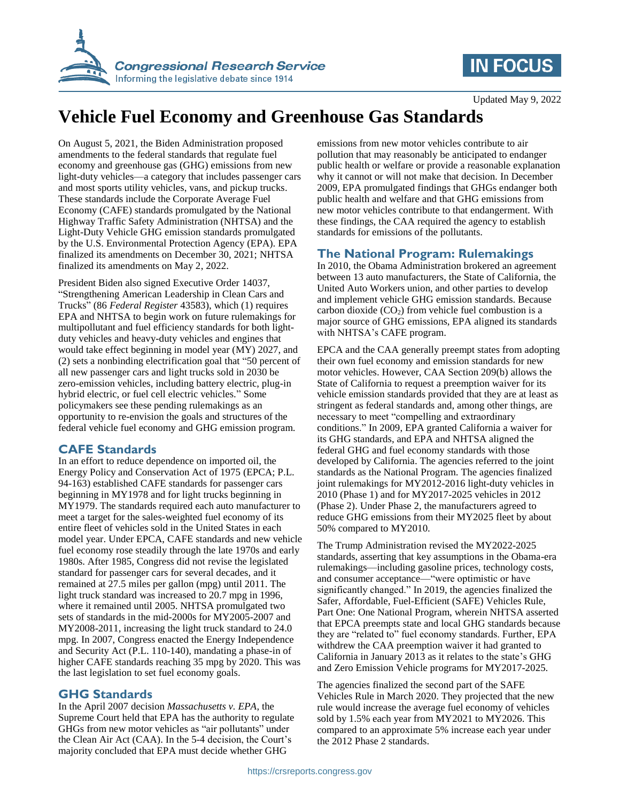

## **IN FOCUS**

# **Vehicle Fuel Economy and Greenhouse Gas Standards**

On August 5, 2021, the Biden Administration proposed amendments to the federal standards that regulate fuel economy and greenhouse gas (GHG) emissions from new light-duty vehicles—a category that includes passenger cars and most sports utility vehicles, vans, and pickup trucks. These standards include the Corporate Average Fuel Economy (CAFE) standards promulgated by the National Highway Traffic Safety Administration (NHTSA) and the Light-Duty Vehicle GHG emission standards promulgated by the U.S. Environmental Protection Agency (EPA). EPA finalized its amendments on December 30, 2021; NHTSA finalized its amendments on May 2, 2022.

President Biden also signed Executive Order 14037, "Strengthening American Leadership in Clean Cars and Trucks" (86 *Federal Register* 43583), which (1) requires EPA and NHTSA to begin work on future rulemakings for multipollutant and fuel efficiency standards for both lightduty vehicles and heavy-duty vehicles and engines that would take effect beginning in model year (MY) 2027, and (2) sets a nonbinding electrification goal that "50 percent of all new passenger cars and light trucks sold in 2030 be zero-emission vehicles, including battery electric, plug-in hybrid electric, or fuel cell electric vehicles." Some policymakers see these pending rulemakings as an opportunity to re-envision the goals and structures of the federal vehicle fuel economy and GHG emission program.

## **CAFE Standards**

In an effort to reduce dependence on imported oil, the Energy Policy and Conservation Act of 1975 (EPCA; P.L. 94-163) established CAFE standards for passenger cars beginning in MY1978 and for light trucks beginning in MY1979. The standards required each auto manufacturer to meet a target for the sales-weighted fuel economy of its entire fleet of vehicles sold in the United States in each model year. Under EPCA, CAFE standards and new vehicle fuel economy rose steadily through the late 1970s and early 1980s. After 1985, Congress did not revise the legislated standard for passenger cars for several decades, and it remained at 27.5 miles per gallon (mpg) until 2011. The light truck standard was increased to 20.7 mpg in 1996, where it remained until 2005. NHTSA promulgated two sets of standards in the mid-2000s for MY2005-2007 and MY2008-2011, increasing the light truck standard to 24.0 mpg. In 2007, Congress enacted the Energy Independence and Security Act (P.L. 110-140), mandating a phase-in of higher CAFE standards reaching 35 mpg by 2020. This was the last legislation to set fuel economy goals.

## **GHG Standards**

In the April 2007 decision *Massachusetts v. EPA*, the Supreme Court held that EPA has the authority to regulate GHGs from new motor vehicles as "air pollutants" under the Clean Air Act (CAA). In the 5-4 decision, the Court's majority concluded that EPA must decide whether GHG

emissions from new motor vehicles contribute to air pollution that may reasonably be anticipated to endanger public health or welfare or provide a reasonable explanation why it cannot or will not make that decision. In December 2009, EPA promulgated findings that GHGs endanger both public health and welfare and that GHG emissions from new motor vehicles contribute to that endangerment. With these findings, the CAA required the agency to establish standards for emissions of the pollutants.

## **The National Program: Rulemakings**

In 2010, the Obama Administration brokered an agreement between 13 auto manufacturers, the State of California, the United Auto Workers union, and other parties to develop and implement vehicle GHG emission standards. Because carbon dioxide  $(CO<sub>2</sub>)$  from vehicle fuel combustion is a major source of GHG emissions, EPA aligned its standards with NHTSA's CAFE program.

EPCA and the CAA generally preempt states from adopting their own fuel economy and emission standards for new motor vehicles. However, CAA Section 209(b) allows the State of California to request a preemption waiver for its vehicle emission standards provided that they are at least as stringent as federal standards and, among other things, are necessary to meet "compelling and extraordinary conditions." In 2009, EPA granted California a waiver for its GHG standards, and EPA and NHTSA aligned the federal GHG and fuel economy standards with those developed by California. The agencies referred to the joint standards as the National Program. The agencies finalized joint rulemakings for MY2012-2016 light-duty vehicles in 2010 (Phase 1) and for MY2017-2025 vehicles in 2012 (Phase 2). Under Phase 2, the manufacturers agreed to reduce GHG emissions from their MY2025 fleet by about 50% compared to MY2010.

The Trump Administration revised the MY2022-2025 standards, asserting that key assumptions in the Obama-era rulemakings—including gasoline prices, technology costs, and consumer acceptance—"were optimistic or have significantly changed." In 2019, the agencies finalized the Safer, Affordable, Fuel-Efficient (SAFE) Vehicles Rule, Part One: One National Program, wherein NHTSA asserted that EPCA preempts state and local GHG standards because they are "related to" fuel economy standards. Further, EPA withdrew the CAA preemption waiver it had granted to California in January 2013 as it relates to the state's GHG and Zero Emission Vehicle programs for MY2017-2025.

The agencies finalized the second part of the SAFE Vehicles Rule in March 2020. They projected that the new rule would increase the average fuel economy of vehicles sold by 1.5% each year from MY2021 to MY2026. This compared to an approximate 5% increase each year under the 2012 Phase 2 standards.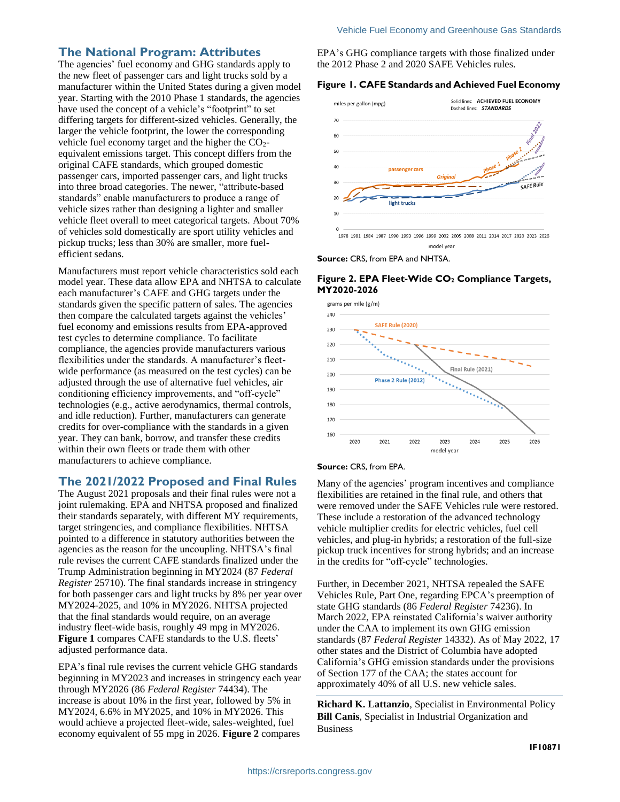#### **The National Program: Attributes**

The agencies' fuel economy and GHG standards apply to the new fleet of passenger cars and light trucks sold by a manufacturer within the United States during a given model year. Starting with the 2010 Phase 1 standards, the agencies have used the concept of a vehicle's "footprint" to set differing targets for different-sized vehicles. Generally, the larger the vehicle footprint, the lower the corresponding vehicle fuel economy target and the higher the  $CO<sub>2</sub>$ equivalent emissions target. This concept differs from the original CAFE standards, which grouped domestic passenger cars, imported passenger cars, and light trucks into three broad categories. The newer, "attribute-based standards" enable manufacturers to produce a range of vehicle sizes rather than designing a lighter and smaller vehicle fleet overall to meet categorical targets. About 70% of vehicles sold domestically are sport utility vehicles and pickup trucks; less than 30% are smaller, more fuelefficient sedans.

Manufacturers must report vehicle characteristics sold each model year. These data allow EPA and NHTSA to calculate each manufacturer's CAFE and GHG targets under the standards given the specific pattern of sales. The agencies then compare the calculated targets against the vehicles' fuel economy and emissions results from EPA-approved test cycles to determine compliance. To facilitate compliance, the agencies provide manufacturers various flexibilities under the standards. A manufacturer's fleetwide performance (as measured on the test cycles) can be adjusted through the use of alternative fuel vehicles, air conditioning efficiency improvements, and "off-cycle" technologies (e.g., active aerodynamics, thermal controls, and idle reduction). Further, manufacturers can generate credits for over-compliance with the standards in a given year. They can bank, borrow, and transfer these credits within their own fleets or trade them with other manufacturers to achieve compliance.

## **The 2021/2022 Proposed and Final Rules**

The August 2021 proposals and their final rules were not a joint rulemaking. EPA and NHTSA proposed and finalized their standards separately, with different MY requirements, target stringencies, and compliance flexibilities. NHTSA pointed to a difference in statutory authorities between the agencies as the reason for the uncoupling. NHTSA's final rule revises the current CAFE standards finalized under the Trump Administration beginning in MY2024 (87 *Federal Register* 25710). The final standards increase in stringency for both passenger cars and light trucks by 8% per year over MY2024-2025, and 10% in MY2026. NHTSA projected that the final standards would require, on an average industry fleet-wide basis, roughly 49 mpg in MY2026. **[Figure 1](#page-1-0)** compares CAFE standards to the U.S. fleets' adjusted performance data.

EPA's final rule revises the current vehicle GHG standards beginning in MY2023 and increases in stringency each year through MY2026 (86 *Federal Register* 74434). The increase is about 10% in the first year, followed by 5% in MY2024, 6.6% in MY2025, and 10% in MY2026. This would achieve a projected fleet-wide, sales-weighted, fuel economy equivalent of 55 mpg in 2026. **[Figure 2](#page-1-1)** compares

EPA's GHG compliance targets with those finalized under the 2012 Phase 2 and 2020 SAFE Vehicles rules.

#### <span id="page-1-0"></span>**Figure 1. CAFE Standards and Achieved Fuel Economy**



**Source:** CRS, from EPA and NHTSA.

#### <span id="page-1-1"></span>**Figure 2. EPA Fleet-Wide CO<sup>2</sup> Compliance Targets, MY2020-2026**



#### **Source:** CRS, from EPA.

Many of the agencies' program incentives and compliance flexibilities are retained in the final rule, and others that were removed under the SAFE Vehicles rule were restored. These include a restoration of the advanced technology vehicle multiplier credits for electric vehicles, fuel cell vehicles, and plug-in hybrids; a restoration of the full-size pickup truck incentives for strong hybrids; and an increase in the credits for "off-cycle" technologies.

Further, in December 2021, NHTSA repealed the SAFE Vehicles Rule, Part One, regarding EPCA's preemption of state GHG standards (86 *Federal Register* 74236). In March 2022, EPA reinstated California's waiver authority under the CAA to implement its own GHG emission standards (87 *Federal Register* 14332). As of May 2022, 17 other states and the District of Columbia have adopted California's GHG emission standards under the provisions of Section 177 of the CAA; the states account for approximately 40% of all U.S. new vehicle sales.

**Richard K. Lattanzio**, Specialist in Environmental Policy **Bill Canis**, Specialist in Industrial Organization and Business